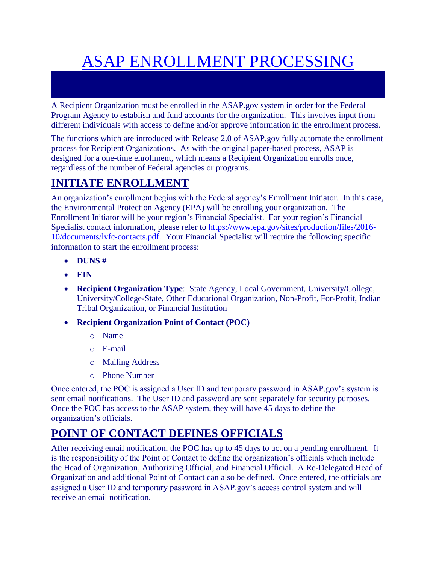# ASAP ENROLLMENT PROCESSING

A Recipient Organization must be enrolled in the ASAP.gov system in order for the Federal Program Agency to establish and fund accounts for the organization. This involves input from different individuals with access to define and/or approve information in the enrollment process.

The functions which are introduced with Release 2.0 of ASAP.gov fully automate the enrollment process for Recipient Organizations. As with the original paper-based process, ASAP is designed for a one-time enrollment, which means a Recipient Organization enrolls once, regardless of the number of Federal agencies or programs.

## **INITIATE ENROLLMENT**

An organization's enrollment begins with the Federal agency's Enrollment Initiator. In this case, the Environmental Protection Agency (EPA) will be enrolling your organization. The Enrollment Initiator will be your region's Financial Specialist. For your region's Financial Specialist contact information, please refer to [https://www.epa.gov/sites/production/files/2016-](https://www.epa.gov/sites/production/files/2016-10/documents/lvfc-contacts.pdf) [10/documents/lvfc-contacts.pdf.](https://www.epa.gov/sites/production/files/2016-10/documents/lvfc-contacts.pdf) Your Financial Specialist will require the following specific information to start the enrollment process:

- **DUNS #**
- **EIN**
- **Recipient Organization Type**: State Agency, Local Government, University/College, University/College-State, Other Educational Organization, Non-Profit, For-Profit, Indian Tribal Organization, or Financial Institution
- **Recipient Organization Point of Contact (POC)**
	- o Name
	- o E-mail
	- o Mailing Address
	- o Phone Number

Once entered, the POC is assigned a User ID and temporary password in ASAP.gov's system is sent email notifications. The User ID and password are sent separately for security purposes. Once the POC has access to the ASAP system, they will have 45 days to define the organization's officials.

## **POINT OF CONTACT DEFINES OFFICIALS**

After receiving email notification, the POC has up to 45 days to act on a pending enrollment. It is the responsibility of the Point of Contact to define the organization's officials which include the Head of Organization, Authorizing Official, and Financial Official. A Re-Delegated Head of Organization and additional Point of Contact can also be defined. Once entered, the officials are assigned a User ID and temporary password in ASAP.gov's access control system and will receive an email notification.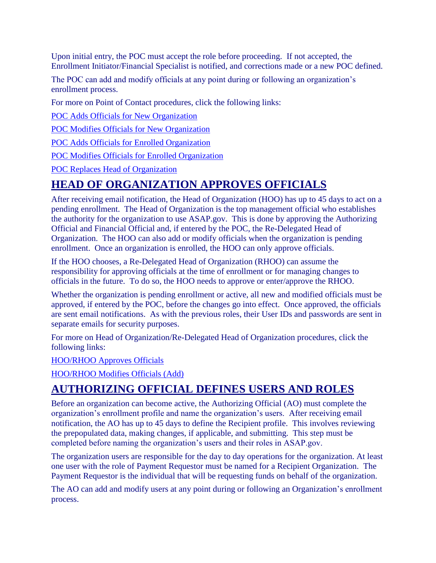Upon initial entry, the POC must accept the role before proceeding. If not accepted, the Enrollment Initiator/Financial Specialist is notified, and corrections made or a new POC defined.

The POC can add and modify officials at any point during or following an organization's enrollment process.

For more on Point of Contact procedures, click the following links:

[POC Adds Officials for New Organization](https://www.asap.gov/ASAPGovHelp_508Project/enrollment/poc_defines_officials/poc_defines_officials_add/procedures_poc_defines_officials_add.htm)

[POC Modifies Officials for New Organization](https://www.asap.gov/ASAPGovHelp_508Project/enrollment/poc_defines_officials/poc_defines_officials_modify_delete/procedures_poc_defines_officials_modify_delete.htm)

[POC Adds Officials for Enrolled Organization](https://www.asap.gov/ASAPGovHelp_508Project/enrollment/poc_modifies_officials/poc_modifies_officials_add/procedures_poc_modifies_officials_add.htm)

[POC Modifies Officials for Enrolled Organization](https://www.asap.gov/ASAPGovHelp_508Project/enrollment/poc_modifies_officials/poc_modifies_officials_modify_delete/procedures_poc_modifies_officials_modify_delete.htm)

[POC Replaces Head of Organization](https://www.asap.gov/ASAPGovHelp_508Project/enrollment/poc_replaces_head_of_organization/procedures_poc_replaces_head_of_organization.htm)

### **HEAD OF ORGANIZATION APPROVES OFFICIALS**

After receiving email notification, the Head of Organization (HOO) has up to 45 days to act on a pending enrollment. The Head of Organization is the top management official who establishes the authority for the organization to use ASAP.gov. This is done by approving the Authorizing Official and Financial Official and, if entered by the POC, the Re-Delegated Head of Organization. The HOO can also add or modify officials when the organization is pending enrollment. Once an organization is enrolled, the HOO can only approve officials.

If the HOO chooses, a Re-Delegated Head of Organization (RHOO) can assume the responsibility for approving officials at the time of enrollment or for managing changes to officials in the future. To do so, the HOO needs to approve or enter/approve the RHOO.

Whether the organization is pending enrollment or active, all new and modified officials must be approved, if entered by the POC, before the changes go into effect. Once approved, the officials are sent email notifications. As with the previous roles, their User IDs and passwords are sent in separate emails for security purposes.

For more on Head of Organization/Re-Delegated Head of Organization procedures, click the following links:

[HOO/RHOO Approves Officials](https://www.asap.gov/ASAPGovHelp_508Project/enrollment/hoo_approves_modifies_officials/hoo_approves_officials/procedures_hoo_aproves_officials.htm)

[HOO/RHOO Modifies Officials \(Add\)](https://www.asap.gov/ASAPGovHelp_508Project/enrollment/hoo_approves_modifies_officials/hoo_modifies_officials/procedures_hoo_modifies_officials.htm)

#### **AUTHORIZING OFFICIAL DEFINES USERS AND ROLES**

Before an organization can become active, the Authorizing Official (AO) must complete the organization's enrollment profile and name the organization's users. After receiving email notification, the AO has up to 45 days to define the Recipient profile. This involves reviewing the prepopulated data, making changes, if applicable, and submitting. This step must be completed before naming the organization's users and their roles in ASAP.gov.

The organization users are responsible for the day to day operations for the organization. At least one user with the role of Payment Requestor must be named for a Recipient Organization. The Payment Requestor is the individual that will be requesting funds on behalf of the organization.

The AO can add and modify users at any point during or following an Organization's enrollment process.